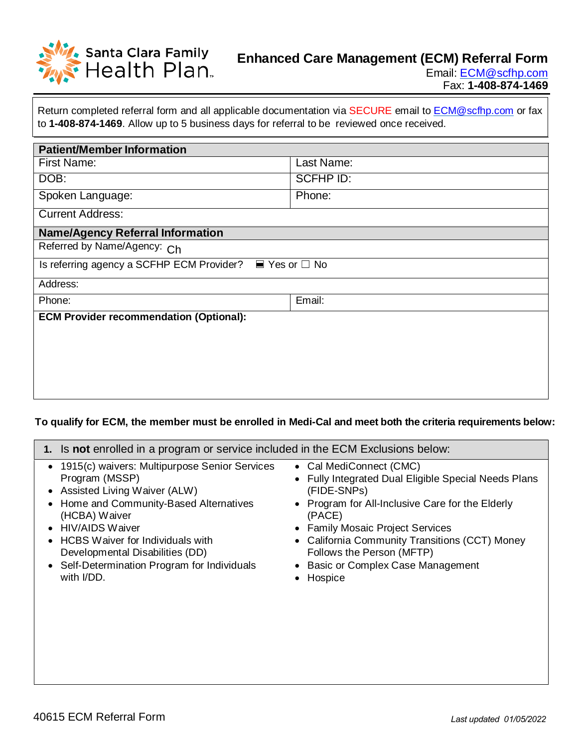

| Return completed referral form and all applicable documentation via SECURE email to <b>ECM@scfhp.com</b> or fax<br>to 1-408-874-1469. Allow up to 5 business days for referral to be reviewed once received. |                  |  |
|--------------------------------------------------------------------------------------------------------------------------------------------------------------------------------------------------------------|------------------|--|
| <b>Patient/Member Information</b>                                                                                                                                                                            |                  |  |
| First Name:                                                                                                                                                                                                  | Last Name:       |  |
| DOB:                                                                                                                                                                                                         | <b>SCFHP ID:</b> |  |
| Spoken Language:                                                                                                                                                                                             | Phone:           |  |
| <b>Current Address:</b>                                                                                                                                                                                      |                  |  |
| <b>Name/Agency Referral Information</b>                                                                                                                                                                      |                  |  |
| Referred by Name/Agency: Ch                                                                                                                                                                                  |                  |  |
| Is referring agency a SCFHP ECM Provider?<br>$\blacksquare$ Yes or $\square$ No                                                                                                                              |                  |  |
| Address:                                                                                                                                                                                                     |                  |  |
| Phone:                                                                                                                                                                                                       | Email:           |  |
| <b>ECM Provider recommendation (Optional):</b>                                                                                                                                                               |                  |  |
|                                                                                                                                                                                                              |                  |  |
|                                                                                                                                                                                                              |                  |  |
|                                                                                                                                                                                                              |                  |  |
|                                                                                                                                                                                                              |                  |  |
|                                                                                                                                                                                                              |                  |  |

## **To qualify for ECM, the member must be enrolled in Medi-Cal and meet both the criteria requirements below:**

| 1. Is not enrolled in a program or service included in the ECM Exclusions below: |                                                      |  |
|----------------------------------------------------------------------------------|------------------------------------------------------|--|
| • 1915(c) waivers: Multipurpose Senior Services                                  | • Cal MediConnect (CMC)                              |  |
| Program (MSSP)                                                                   | • Fully Integrated Dual Eligible Special Needs Plans |  |
| • Assisted Living Waiver (ALW)                                                   | (FIDE-SNPs)                                          |  |
| • Home and Community-Based Alternatives                                          | • Program for All-Inclusive Care for the Elderly     |  |
| (HCBA) Waiver                                                                    | (PACE)                                               |  |
| • HIV/AIDS Waiver                                                                | • Family Mosaic Project Services                     |  |
| • HCBS Waiver for Individuals with                                               | • California Community Transitions (CCT) Money       |  |
| Developmental Disabilities (DD)                                                  | Follows the Person (MFTP)                            |  |
| • Self-Determination Program for Individuals                                     | • Basic or Complex Case Management                   |  |
| with I/DD.                                                                       | Hospice                                              |  |